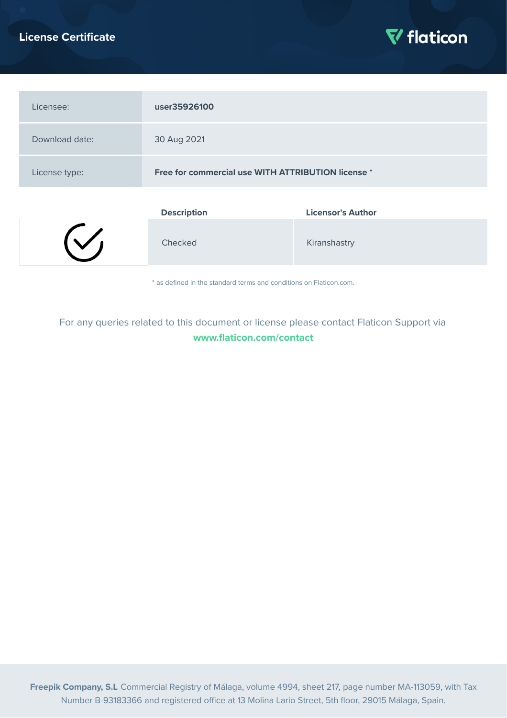## **License Certificate**



| Licensee:      | user35926100                                       |                          |
|----------------|----------------------------------------------------|--------------------------|
| Download date: | 30 Aug 2021                                        |                          |
| License type:  | Free for commercial use WITH ATTRIBUTION license * |                          |
|                | <b>Description</b>                                 | <b>Licensor's Author</b> |

| Checked |  | Kiranshastry |
|---------|--|--------------|
|---------|--|--------------|

\* as defined in the standard terms and conditions on Flaticon.com.

# For any queries related to this document or license please contact Flaticon Support via **[www.flaticon.com/contact](https://www.flaticon.com/contact)**

**Freepik Company, S.L** Commercial Registry of Málaga, volume 4994, sheet 217, page number MA-113059, with Tax Number B-93183366 and registered office at 13 Molina Lario Street, 5th floor, 29015 Málaga, Spain.